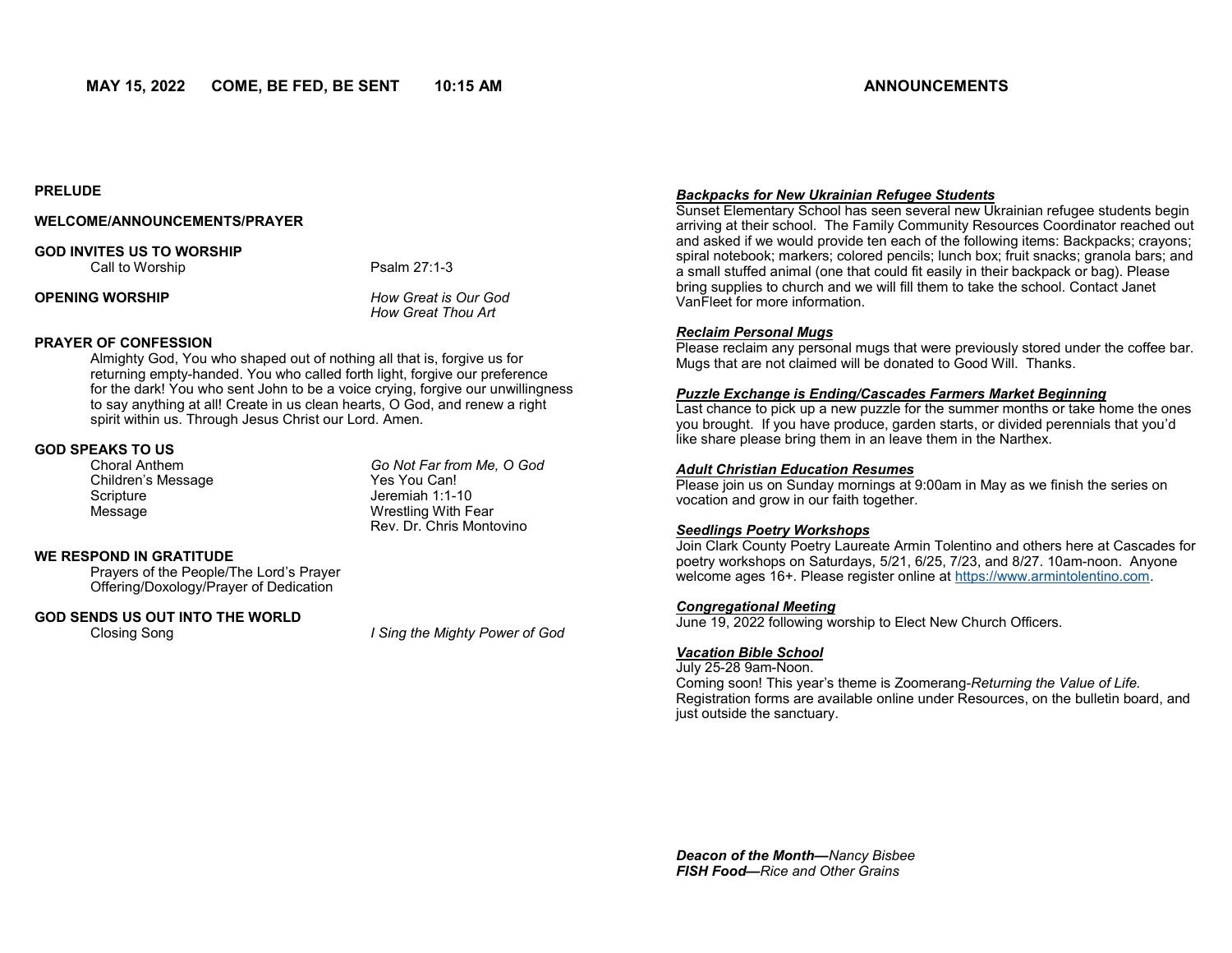**PRELUDE** 

## **WELCOME/ANNOUNCEMENTS/PRAYER**

## **GOD INVITES US TO WORSHIP**

Call to Worship **Psalm 27:1-3** 

**OPENING WORSHIP** *How Great is Our God*

*How Great Thou Art*

## **PRAYER OF CONFESSION**

Almighty God, You who shaped out of nothing all that is, forgive us for returning empty-handed. You who called forth light, forgive our preference for the dark! You who sent John to be a voice crying, forgive our unwillingness to say anything at all! Create in us clean hearts, O God, and renew a right spirit within us. Through Jesus Christ our Lord. Amen.

# **GOD SPEAKS TO US**

Children's Message Scripture **Jeremiah 1:1-10** 

Go Not Far from Me, O God<br>Yes You Can! Message Wrestling With Fear Rev. Dr. Chris Montovino

## **WE RESPOND IN GRATITUDE**

Prayers of the People/The Lord's Prayer Offering/Doxology/Prayer of Dedication

## **GOD SENDS US OUT INTO THE WORLD**

Closing Song *I Sing the Mighty Power of God*

## *Backpacks for New Ukrainian Refugee Students*

Sunset Elementary School has seen several new Ukrainian refugee students begin arriving at their school. The Family Community Resources Coordinator reached out and asked if we would provide ten each of the following items: Backpacks; crayons; spiral notebook; markers; colored pencils; lunch box; fruit snacks; granola bars; and a small stuffed animal (one that could fit easily in their backpack or bag). Please bring supplies to church and we will fill them to take the school. Contact Janet VanFleet for more information.

## *Reclaim Personal Mugs*

Please reclaim any personal mugs that were previously stored under the coffee bar. Mugs that are not claimed will be donated to Good Will. Thanks.

## *Puzzle Exchange is Ending/Cascades Farmers Market Beginning*

Last chance to pick up a new puzzle for the summer months or take home the ones you brought. If you have produce, garden starts, or divided perennials that you'd like share please bring them in an leave them in the Narthex.

## *Adult Christian Education Resumes*

Please join us on Sunday mornings at 9:00am in May as we finish the series on vocation and grow in our faith together.

## *Seedlings Poetry Workshops*

Join Clark County Poetry Laureate Armin Tolentino and others here at Cascades for poetry workshops on Saturdays, 5/21, 6/25, 7/23, and 8/27. 10am-noon. Anyone welcome ages 16+. Please register online at [https://www.armintolentino.com.](https://www.armintolentino.com) 

#### *Congregational Meeting*

June 19, 2022 following worship to Elect New Church Officers.

#### *Vacation Bible School*

July 25-28 9am-Noon.

Coming soon! This year's theme is Zoomerang-*Returning the Value of Life.*  Registration forms are available online under Resources, on the bulletin board, and just outside the sanctuary.

*Deacon of the Month—Nancy Bisbee FISH Food—Rice and Other Grains*